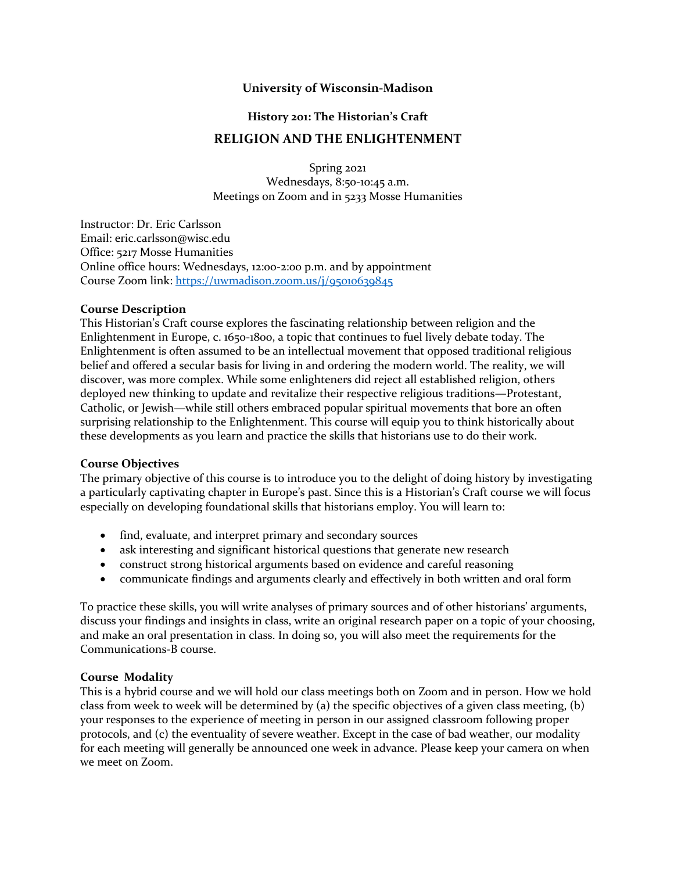## **University of Wisconsin-Madison**

### **History 201: The Historian's Craft**

## **RELIGION AND THE ENLIGHTENMENT**

Spring 2021 Wednesdays, 8:50-10:45 a.m. Meetings on Zoom and in 5233 Mosse Humanities

Instructor: Dr. Eric Carlsson Email: eric.carlsson@wisc.edu Office: 5217 Mosse Humanities Online office hours: Wednesdays, 12:00-2:00 p.m. and by appointment Course Zoom link: https://uwmadison.zoom.us/j/95010639845

#### **Course Description**

This Historian's Craft course explores the fascinating relationship between religion and the Enlightenment in Europe, c. 1650-1800, a topic that continues to fuel lively debate today. The Enlightenment is often assumed to be an intellectual movement that opposed traditional religious belief and offered a secular basis for living in and ordering the modern world. The reality, we will discover, was more complex. While some enlighteners did reject all established religion, others deployed new thinking to update and revitalize their respective religious traditions—Protestant, Catholic, or Jewish—while still others embraced popular spiritual movements that bore an often surprising relationship to the Enlightenment. This course will equip you to think historically about these developments as you learn and practice the skills that historians use to do their work.

### **Course Objectives**

The primary objective of this course is to introduce you to the delight of doing history by investigating a particularly captivating chapter in Europe's past. Since this is a Historian's Craft course we will focus especially on developing foundational skills that historians employ. You will learn to:

- find, evaluate, and interpret primary and secondary sources
- ask interesting and significant historical questions that generate new research
- construct strong historical arguments based on evidence and careful reasoning
- communicate findings and arguments clearly and effectively in both written and oral form

To practice these skills, you will write analyses of primary sources and of other historians' arguments, discuss your findings and insights in class, write an original research paper on a topic of your choosing, and make an oral presentation in class. In doing so, you will also meet the requirements for the Communications-B course.

### **Course Modality**

This is a hybrid course and we will hold our class meetings both on Zoom and in person. How we hold class from week to week will be determined by (a) the specific objectives of a given class meeting, (b) your responses to the experience of meeting in person in our assigned classroom following proper protocols, and (c) the eventuality of severe weather. Except in the case of bad weather, our modality for each meeting will generally be announced one week in advance. Please keep your camera on when we meet on Zoom.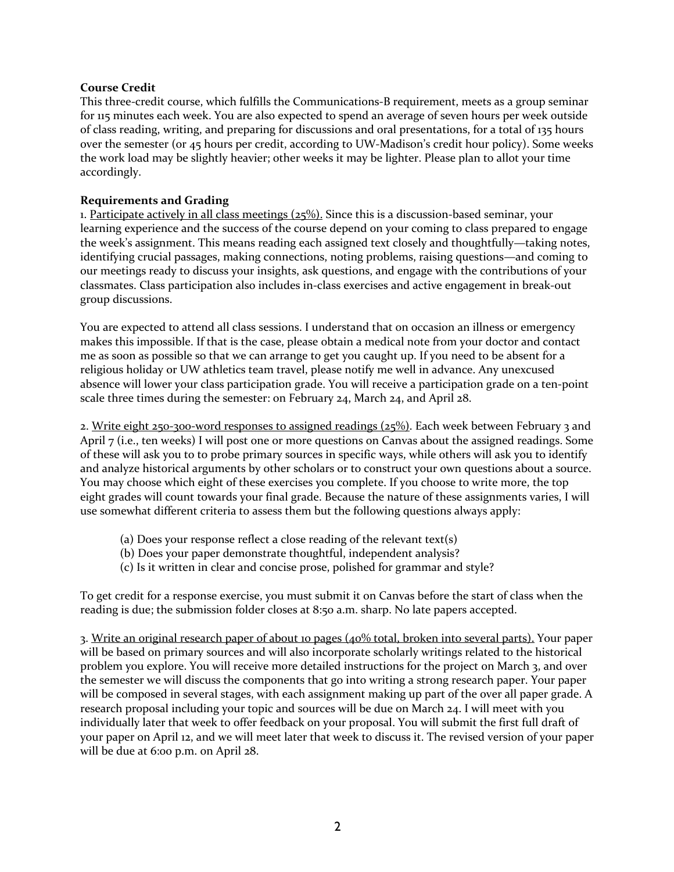## **Course Credit**

This three-credit course, which fulfills the Communications-B requirement, meets as a group seminar for 115 minutes each week. You are also expected to spend an average of seven hours per week outside of class reading, writing, and preparing for discussions and oral presentations, for a total of 135 hours over the semester (or 45 hours per credit, according to UW-Madison's credit hour policy). Some weeks the work load may be slightly heavier; other weeks it may be lighter. Please plan to allot your time accordingly.

# **Requirements and Grading**

1. Participate actively in all class meetings  $(25\%)$ . Since this is a discussion-based seminar, your learning experience and the success of the course depend on your coming to class prepared to engage the week's assignment. This means reading each assigned text closely and thoughtfully—taking notes, identifying crucial passages, making connections, noting problems, raising questions—and coming to our meetings ready to discuss your insights, ask questions, and engage with the contributions of your classmates. Class participation also includes in-class exercises and active engagement in break-out group discussions.

You are expected to attend all class sessions. I understand that on occasion an illness or emergency makes this impossible. If that is the case, please obtain a medical note from your doctor and contact me as soon as possible so that we can arrange to get you caught up. If you need to be absent for a religious holiday or UW athletics team travel, please notify me well in advance. Any unexcused absence will lower your class participation grade. You will receive a participation grade on a ten-point scale three times during the semester: on February 24, March 24, and April 28.

2. Write eight 250-300-word responses to assigned readings (25%). Each week between February 3 and April 7 (i.e., ten weeks) I will post one or more questions on Canvas about the assigned readings. Some of these will ask you to to probe primary sources in specific ways, while others will ask you to identify and analyze historical arguments by other scholars or to construct your own questions about a source. You may choose which eight of these exercises you complete. If you choose to write more, the top eight grades will count towards your final grade. Because the nature of these assignments varies, I will use somewhat different criteria to assess them but the following questions always apply:

- (a) Does your response reflect a close reading of the relevant text(s)
- (b) Does your paper demonstrate thoughtful, independent analysis?
- (c) Is it written in clear and concise prose, polished for grammar and style?

To get credit for a response exercise, you must submit it on Canvas before the start of class when the reading is due; the submission folder closes at 8:50 a.m. sharp. No late papers accepted.

3. Write an original research paper of about 10 pages (40% total, broken into several parts). Your paper will be based on primary sources and will also incorporate scholarly writings related to the historical problem you explore. You will receive more detailed instructions for the project on March 3, and over the semester we will discuss the components that go into writing a strong research paper. Your paper will be composed in several stages, with each assignment making up part of the over all paper grade. A research proposal including your topic and sources will be due on March 24. I will meet with you individually later that week to offer feedback on your proposal. You will submit the first full draft of your paper on April 12, and we will meet later that week to discuss it. The revised version of your paper will be due at 6:00 p.m. on April 28.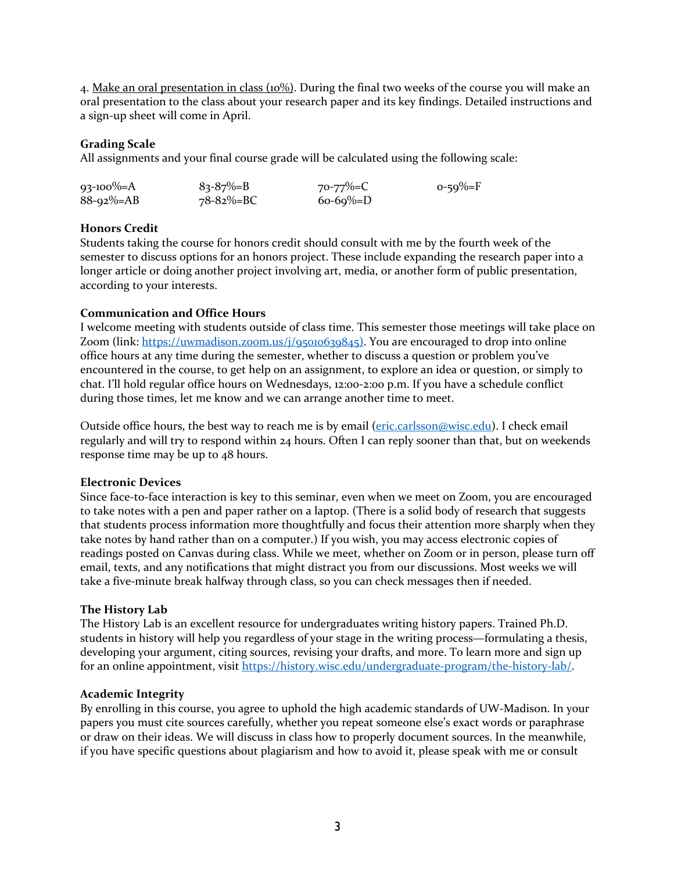4. Make an oral presentation in class (10%). During the final two weeks of the course you will make an oral presentation to the class about your research paper and its key findings. Detailed instructions and a sign-up sheet will come in April.

### **Grading Scale**

All assignments and your final course grade will be calculated using the following scale:

| $93 - 100\% = A$ | $83 - 87\% = B$ | $70 - 77\% = C$ | $0 - 59\% = F$ |
|------------------|-----------------|-----------------|----------------|
| $88 - 92\% = AB$ | 78-82%=BC       | $60-69\%=D$     |                |

#### **Honors Credit**

Students taking the course for honors credit should consult with me by the fourth week of the semester to discuss options for an honors project. These include expanding the research paper into a longer article or doing another project involving art, media, or another form of public presentation, according to your interests.

#### **Communication and Office Hours**

I welcome meeting with students outside of class time. This semester those meetings will take place on Zoom (link: https://uwmadison.zoom.us/j/95010639845). You are encouraged to drop into online office hours at any time during the semester, whether to discuss a question or problem you've encountered in the course, to get help on an assignment, to explore an idea or question, or simply to chat. I'll hold regular office hours on Wednesdays, 12:00-2:00 p.m. If you have a schedule conflict during those times, let me know and we can arrange another time to meet.

Outside office hours, the best way to reach me is by email (eric.carlsson@wisc.edu). I check email regularly and will try to respond within 24 hours. Often I can reply sooner than that, but on weekends response time may be up to 48 hours.

#### **Electronic Devices**

Since face-to-face interaction is key to this seminar, even when we meet on Zoom, you are encouraged to take notes with a pen and paper rather on a laptop. (There is a solid body of research that suggests that students process information more thoughtfully and focus their attention more sharply when they take notes by hand rather than on a computer.) If you wish, you may access electronic copies of readings posted on Canvas during class. While we meet, whether on Zoom or in person, please turn off email, texts, and any notifications that might distract you from our discussions. Most weeks we will take a five-minute break halfway through class, so you can check messages then if needed.

### **The History Lab**

The History Lab is an excellent resource for undergraduates writing history papers. Trained Ph.D. students in history will help you regardless of your stage in the writing process—formulating a thesis, developing your argument, citing sources, revising your drafts, and more. To learn more and sign up for an online appointment, visit https://history.wisc.edu/undergraduate-program/the-history-lab/.

### **Academic Integrity**

By enrolling in this course, you agree to uphold the high academic standards of UW-Madison. In your papers you must cite sources carefully, whether you repeat someone else's exact words or paraphrase or draw on their ideas. We will discuss in class how to properly document sources. In the meanwhile, if you have specific questions about plagiarism and how to avoid it, please speak with me or consult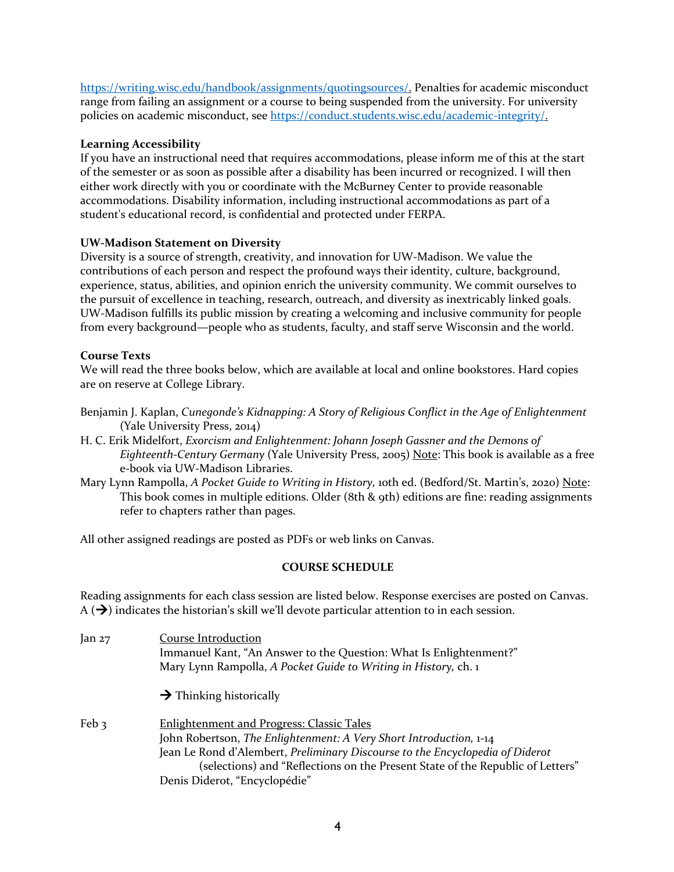https://writing.wisc.edu/handbook/assignments/quotingsources/. Penalties for academic misconduct range from failing an assignment or a course to being suspended from the university. For university policies on academic misconduct, see https://conduct.students.wisc.edu/academic-integrity/.

## **Learning Accessibility**

If you have an instructional need that requires accommodations, please inform me of this at the start of the semester or as soon as possible after a disability has been incurred or recognized. I will then either work directly with you or coordinate with the McBurney Center to provide reasonable accommodations. Disability information, including instructional accommodations as part of a student's educational record, is confidential and protected under FERPA.

## **UW-Madison Statement on Diversity**

Diversity is a source of strength, creativity, and innovation for UW-Madison. We value the contributions of each person and respect the profound ways their identity, culture, background, experience, status, abilities, and opinion enrich the university community. We commit ourselves to the pursuit of excellence in teaching, research, outreach, and diversity as inextricably linked goals. UW-Madison fulfills its public mission by creating a welcoming and inclusive community for people from every background—people who as students, faculty, and staff serve Wisconsin and the world.

## **Course Texts**

We will read the three books below, which are available at local and online bookstores. Hard copies are on reserve at College Library.

- Benjamin J. Kaplan, *Cunegonde's Kidnapping: A Story of Religious Conflict in the Age of Enlightenment*  (Yale University Press, 2014)
- H. C. Erik Midelfort, *Exorcism and Enlightenment: Johann Joseph Gassner and the Demons of Eighteenth-Century Germany* (Yale University Press, 2005) Note: This book is available as a free e-book via UW-Madison Libraries.
- Mary Lynn Rampolla, *A Pocket Guide to Writing in History,* 10th ed. (Bedford/St. Martin's, 2020) Note: This book comes in multiple editions. Older (8th & 9th) editions are fine: reading assignments refer to chapters rather than pages.

All other assigned readings are posted as PDFs or web links on Canvas.

### **COURSE SCHEDULE**

Reading assignments for each class session are listed below. Response exercises are posted on Canvas.  $A(\rightarrow)$  indicates the historian's skill we'll devote particular attention to in each session.

| Jan $27$ | <b>Course Introduction</b><br>Immanuel Kant, "An Answer to the Question: What Is Enlightenment?"<br>Mary Lynn Rampolla, A Pocket Guide to Writing in History, ch. 1                                                                                                                                                        |
|----------|----------------------------------------------------------------------------------------------------------------------------------------------------------------------------------------------------------------------------------------------------------------------------------------------------------------------------|
|          | $\rightarrow$ Thinking historically                                                                                                                                                                                                                                                                                        |
| Feb 3    | <b>Enlightenment and Progress: Classic Tales</b><br>John Robertson, The Enlightenment: A Very Short Introduction, 1-14<br>Jean Le Rond d'Alembert, Preliminary Discourse to the Encyclopedia of Diderot<br>(selections) and "Reflections on the Present State of the Republic of Letters"<br>Denis Diderot, "Encyclopédie" |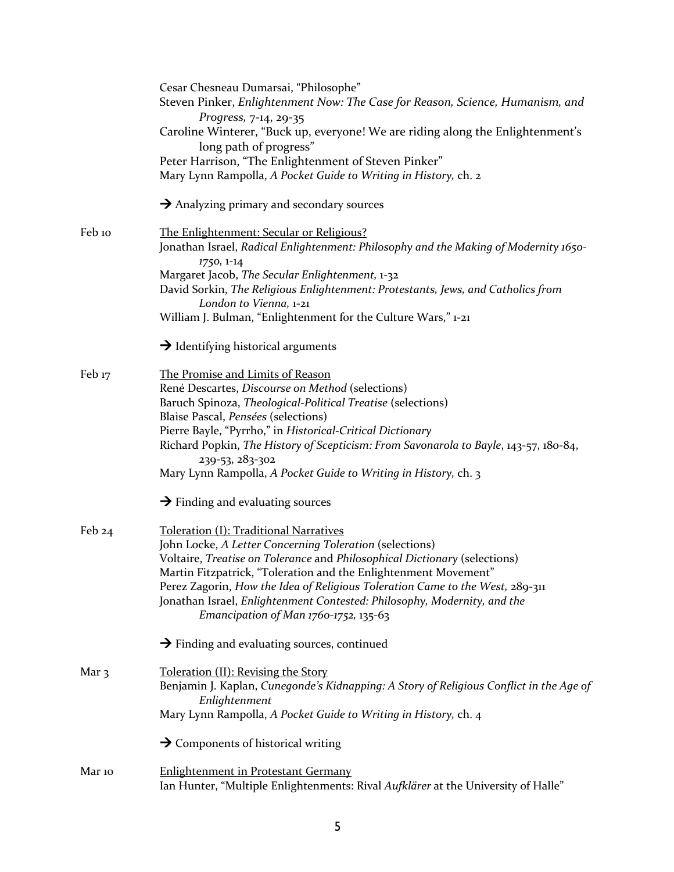|                   | Cesar Chesneau Dumarsai, "Philosophe"                                                                    |
|-------------------|----------------------------------------------------------------------------------------------------------|
|                   | Steven Pinker, Enlightenment Now: The Case for Reason, Science, Humanism, and                            |
|                   | Progress, 7-14, 29-35                                                                                    |
|                   | Caroline Winterer, "Buck up, everyone! We are riding along the Enlightenment's<br>long path of progress" |
|                   | Peter Harrison, "The Enlightenment of Steven Pinker"                                                     |
|                   | Mary Lynn Rampolla, A Pocket Guide to Writing in History, ch. 2                                          |
|                   |                                                                                                          |
|                   | $\rightarrow$ Analyzing primary and secondary sources                                                    |
| Feb 10            | The Enlightenment: Secular or Religious?                                                                 |
|                   | Jonathan Israel, Radical Enlightenment: Philosophy and the Making of Modernity 1650-                     |
|                   | 1750, 1-14                                                                                               |
|                   | Margaret Jacob, The Secular Enlightenment, 1-32                                                          |
|                   | David Sorkin, The Religious Enlightenment: Protestants, Jews, and Catholics from                         |
|                   | London to Vienna, 1-21                                                                                   |
|                   | William J. Bulman, "Enlightenment for the Culture Wars," 1-21                                            |
|                   | $\rightarrow$ Identifying historical arguments                                                           |
|                   |                                                                                                          |
| Feb <sub>17</sub> | The Promise and Limits of Reason                                                                         |
|                   | René Descartes, Discourse on Method (selections)                                                         |
|                   | Baruch Spinoza, Theological-Political Treatise (selections)                                              |
|                   | Blaise Pascal, Pensées (selections)                                                                      |
|                   | Pierre Bayle, "Pyrrho," in Historical-Critical Dictionary                                                |
|                   | Richard Popkin, The History of Scepticism: From Savonarola to Bayle, 143-57, 180-84,                     |
|                   | 239-53, 283-302                                                                                          |
|                   | Mary Lynn Rampolla, A Pocket Guide to Writing in History, ch. 3                                          |
|                   | $\rightarrow$ Finding and evaluating sources                                                             |
| Feb $24$          | Toleration (I): Traditional Narratives                                                                   |
|                   | John Locke, A Letter Concerning Toleration (selections)                                                  |
|                   | Voltaire, Treatise on Tolerance and Philosophical Dictionary (selections)                                |
|                   | Martin Fitzpatrick, "Toleration and the Enlightenment Movement"                                          |
|                   | Perez Zagorin, How the Idea of Religious Toleration Came to the West, 289-311                            |
|                   | Jonathan Israel, Enlightenment Contested: Philosophy, Modernity, and the                                 |
|                   | Emancipation of Man $1760-1752$ , $135-63$                                                               |
|                   | $\rightarrow$ Finding and evaluating sources, continued                                                  |
| Mar <sub>3</sub>  | Toleration (II): Revising the Story                                                                      |
|                   | Benjamin J. Kaplan, Cunegonde's Kidnapping: A Story of Religious Conflict in the Age of                  |
|                   | Enlightenment                                                                                            |
|                   | Mary Lynn Rampolla, A Pocket Guide to Writing in History, ch. 4                                          |
|                   | $\rightarrow$ Components of historical writing                                                           |
| Mar 10            | <b>Enlightenment in Protestant Germany</b>                                                               |
|                   | Ian Hunter, "Multiple Enlightenments: Rival Aufklärer at the University of Halle"                        |